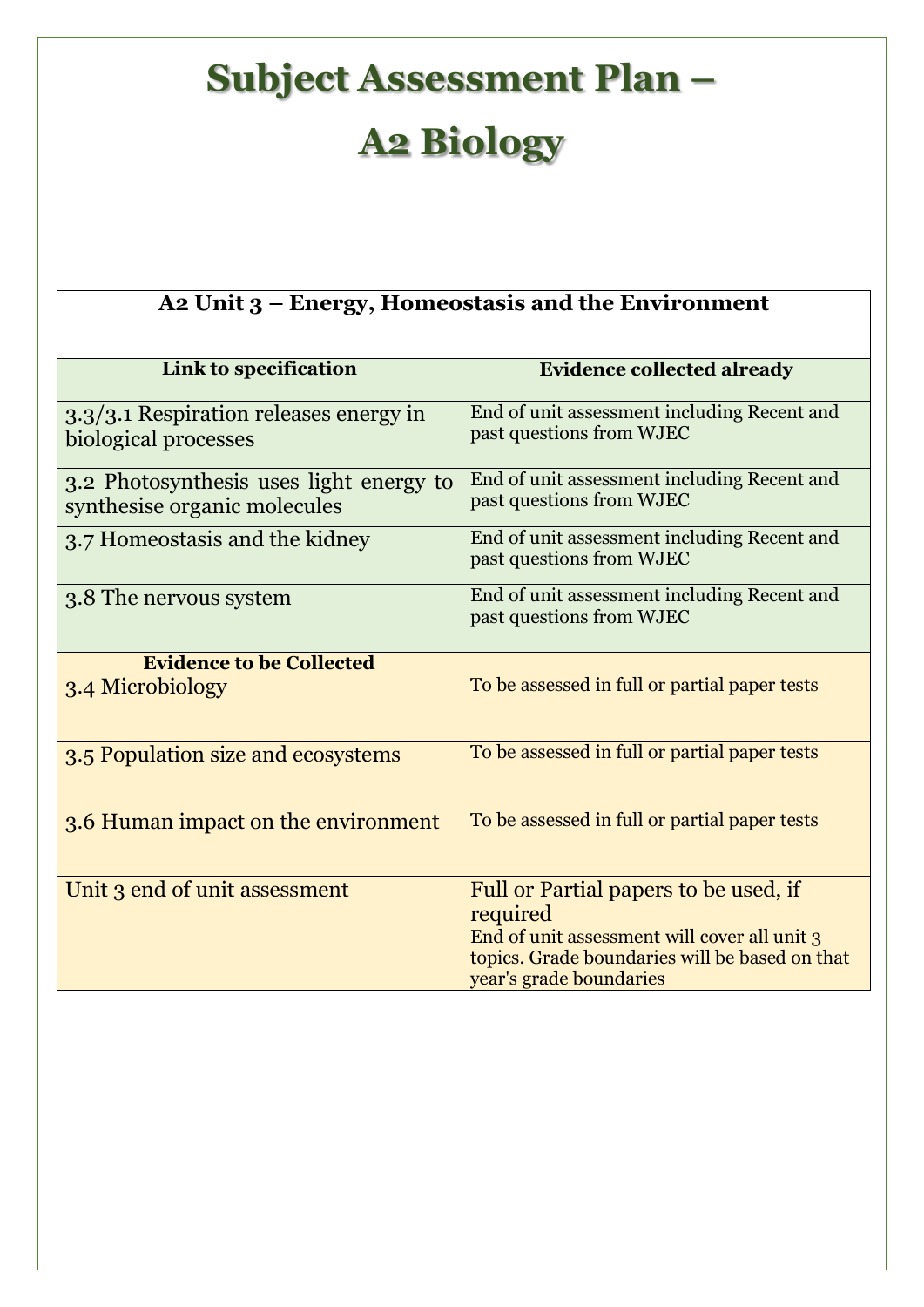## **Subject Assessment Plan – A2 Biology**

| A2 Unit 3 – Energy, Homeostasis and the Environment                     |                                                                                                                                                                                |  |
|-------------------------------------------------------------------------|--------------------------------------------------------------------------------------------------------------------------------------------------------------------------------|--|
| Link to specification                                                   | <b>Evidence collected already</b>                                                                                                                                              |  |
| 3.3/3.1 Respiration releases energy in<br>biological processes          | End of unit assessment including Recent and<br>past questions from WJEC                                                                                                        |  |
| 3.2 Photosynthesis uses light energy to<br>synthesise organic molecules | End of unit assessment including Recent and<br>past questions from WJEC                                                                                                        |  |
| 3.7 Homeostasis and the kidney                                          | End of unit assessment including Recent and<br>past questions from WJEC                                                                                                        |  |
| 3.8 The nervous system                                                  | End of unit assessment including Recent and<br>past questions from WJEC                                                                                                        |  |
| <b>Evidence to be Collected</b>                                         |                                                                                                                                                                                |  |
| 3.4 Microbiology                                                        | To be assessed in full or partial paper tests                                                                                                                                  |  |
| 3.5 Population size and ecosystems                                      | To be assessed in full or partial paper tests                                                                                                                                  |  |
| 3.6 Human impact on the environment                                     | To be assessed in full or partial paper tests                                                                                                                                  |  |
| Unit 3 end of unit assessment                                           | Full or Partial papers to be used, if<br>required<br>End of unit assessment will cover all unit 3<br>topics. Grade boundaries will be based on that<br>year's grade boundaries |  |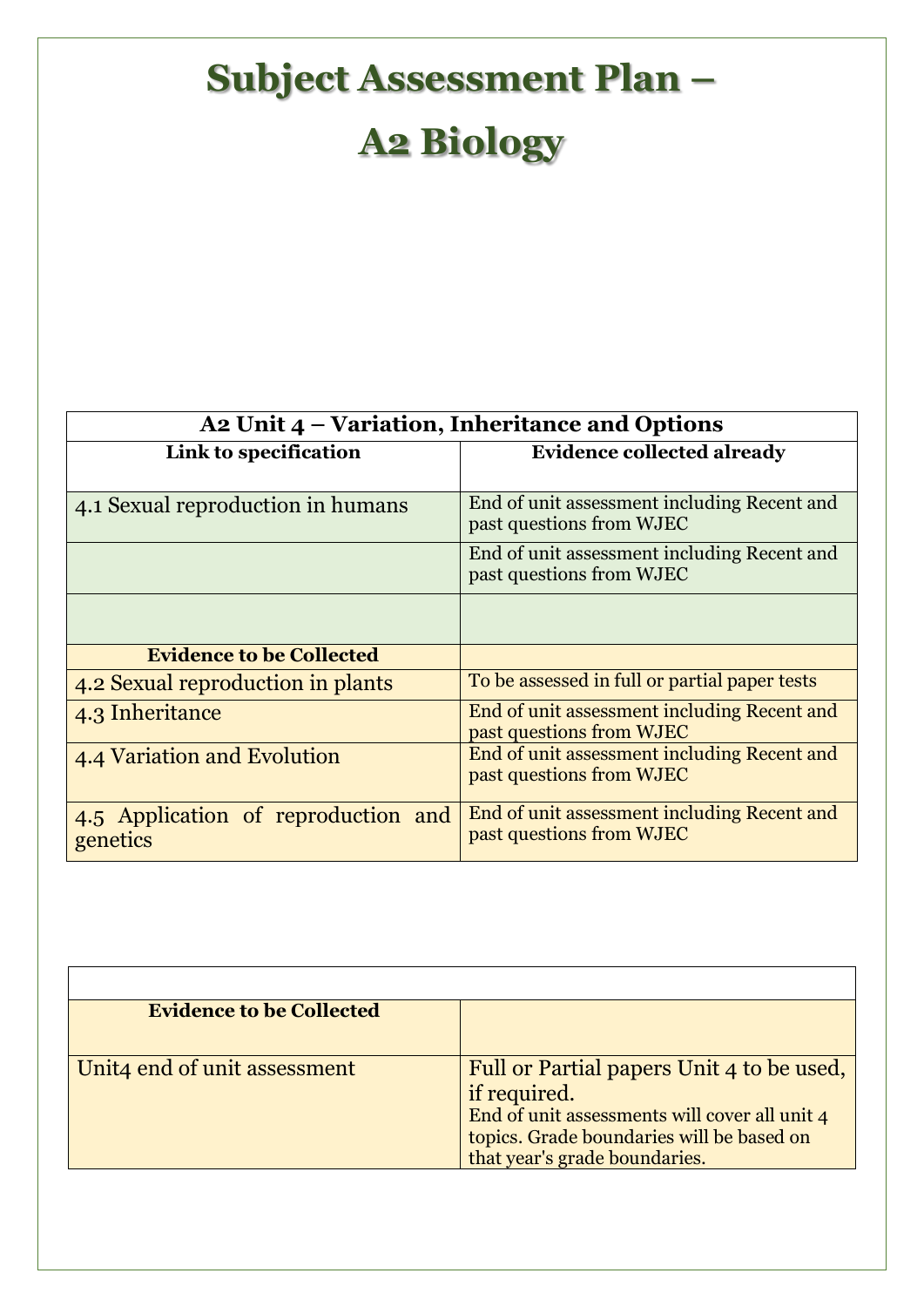## **Subject Assessment Plan –**

## **A2 Biology**

| A2 Unit 4 – Variation, Inheritance and Options  |                                                                         |  |
|-------------------------------------------------|-------------------------------------------------------------------------|--|
| Link to specification                           | <b>Evidence collected already</b>                                       |  |
|                                                 |                                                                         |  |
| 4.1 Sexual reproduction in humans               | End of unit assessment including Recent and<br>past questions from WJEC |  |
|                                                 | End of unit assessment including Recent and<br>past questions from WJEC |  |
|                                                 |                                                                         |  |
| <b>Evidence to be Collected</b>                 |                                                                         |  |
| 4.2 Sexual reproduction in plants               | To be assessed in full or partial paper tests                           |  |
| 4.3 Inheritance                                 | End of unit assessment including Recent and<br>past questions from WJEC |  |
| 4.4 Variation and Evolution                     | End of unit assessment including Recent and<br>past questions from WJEC |  |
| 4.5 Application of reproduction and<br>genetics | End of unit assessment including Recent and<br>past questions from WJEC |  |

| <b>Evidence to be Collected</b> |                                                                                                            |
|---------------------------------|------------------------------------------------------------------------------------------------------------|
|                                 |                                                                                                            |
| Unit4 end of unit assessment    | Full or Partial papers Unit 4 to be used,<br>if required.<br>End of unit assessments will cover all unit 4 |
|                                 | topics. Grade boundaries will be based on<br>that year's grade boundaries.                                 |